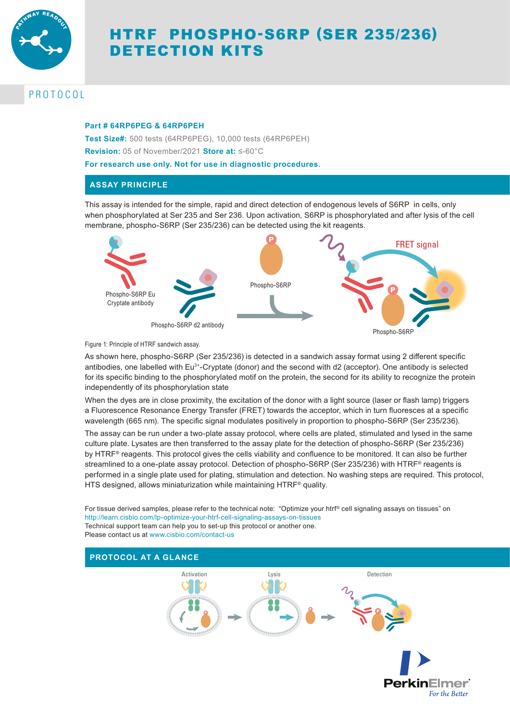

# HTRF PHOSPHO-S6RP (SER 235/236) DETECTION KITS

## PROTOCOL

#### **Part # 64RP6PEG & 64RP6PEH**

**Test Size#:** 500 tests (64RP6PEG), 10,000 tests (64RP6PEH) **Revision:** 05 of November/2021 **Store at:** ≤-60°C

**For research use only. Not for use in diagnostic procedures.**

### **ASSAY PRINCIPLE**

This assay is intended for the simple, rapid and direct detection of endogenous levels of S6RP in cells, only when phosphorylated at Ser 235 and Ser 236. Upon activation, S6RP is phosphorylated and after lysis of the cell membrane, phospho-S6RP (Ser 235/236) can be detected using the kit reagents.



Phospho-S6RP

Figure 1: Principle of HTRF sandwich assay.

As shown here, phospho-S6RP (Ser 235/236) is detected in a sandwich assay format using 2 different specific antibodies, one labelled with Eu<sup>3+</sup>-Cryptate (donor) and the second with d2 (acceptor). One antibody is selected for its specific binding to the phosphorylated motif on the protein, the second for its ability to recognize the protein independently of its phosphorylation state

When the dyes are in close proximity, the excitation of the donor with a light source (laser or flash lamp) triggers a Fluorescence Resonance Energy Transfer (FRET) towards the acceptor, which in turn fluoresces at a specific wavelength (665 nm). The specific signal modulates positively in proportion to phospho-S6RP (Ser 235/236).

The assay can be run under a two-plate assay protocol, where cells are plated, stimulated and lysed in the same culture plate. Lysates are then transferred to the assay plate for the detection of phospho-S6RP (Ser 235/236) by HTRF® reagents. This protocol gives the cells viability and confluence to be monitored. It can also be further streamlined to a one-plate assay protocol. Detection of phospho-S6RP (Ser 235/236) with HTRF® reagents is performed in a single plate used for plating, stimulation and detection. No washing steps are required. This protocol, HTS designed, allows miniaturization while maintaining HTRF® quality.

For tissue derived samples, please refer to the technical note: "Optimize your htrf® cell signaling assays on tissues" on http://learn.cisbio.com/lp-optimize-your-htrf-cell-signaling-assays-on-tissues Technical support team can help you to set-up this protocol or another one. Please contact us at www.cisbio.com/contact-us

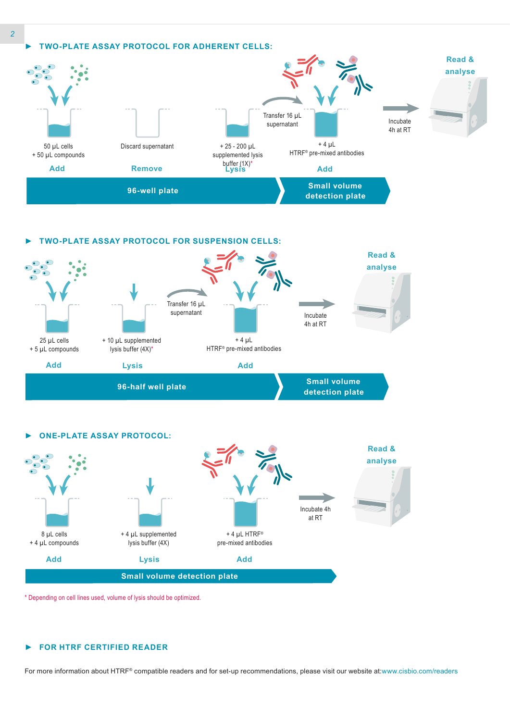



*►* **ONE-PLATE ASSAY PROTOCOL:** 8 µL cells + 4 µL compounds + 4 µL supplemented lysis buffer (4X)  $+ 4$  µL HTRF® **Read & analyse** Incubate 4h at RT

**Small volume detection plate** pre-mixed antibodies **Add Lysis Add**

\* Depending on cell lines used, volume of lysis should be optimized.

#### *►* **FOR HTRF CERTIFIED READER**

For more information about HTRF® compatible readers and for set-up recommendations, please visit our website at:www.cisbio.com/readers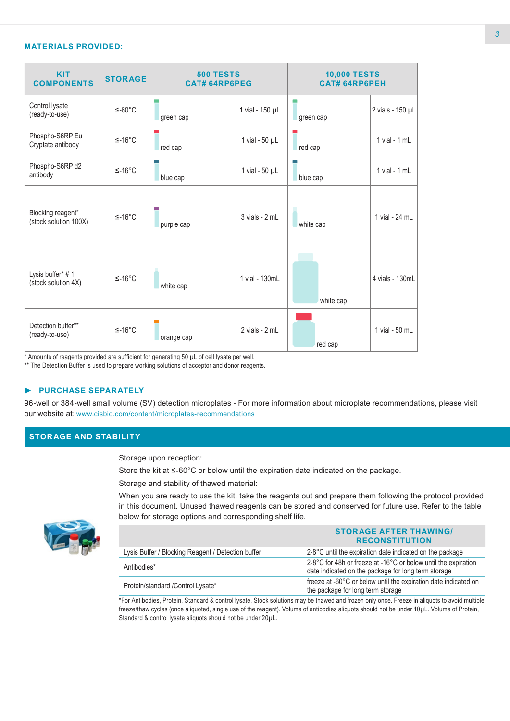#### **MATERIALS PROVIDED:**

| <b>KIT</b><br><b>COMPONENTS</b>            | <b>STORAGE</b> | <b>500 TESTS</b><br><b>CAT# 64RP6PEG</b> |                       | <b>10,000 TESTS</b><br><b>CAT# 64RP6PEH</b> |                   |
|--------------------------------------------|----------------|------------------------------------------|-----------------------|---------------------------------------------|-------------------|
| Control lysate<br>(ready-to-use)           | $≤-60°C$       | green cap                                | 1 vial - 150 µL       | green cap                                   | 2 vials - 150 µL  |
| Phospho-S6RP Eu<br>Cryptate antibody       | $≤-16°C$       | red cap                                  | 1 vial - $50 \mu L$   | red cap                                     | $1$ vial - $1$ mL |
| Phospho-S6RP d2<br>antibody                | $≤-16°C$       | blue cap                                 | 1 vial - $50$ $\mu$ L | blue cap                                    | $1$ vial - $1$ mL |
| Blocking reagent*<br>(stock solution 100X) | $≤-16°C$       | purple cap                               | 3 vials - 2 mL        | white cap                                   | 1 vial - 24 mL    |
| Lysis buffer* #1<br>(stock solution 4X)    | $≤-16°C$       | white cap                                | 1 vial - 130mL        | white cap                                   | 4 vials - 130mL   |
| Detection buffer**<br>(ready-to-use)       | $≤-16°C$       | orange cap                               | 2 vials - 2 mL        | red cap                                     | 1 vial - 50 mL    |

\* Amounts of reagents provided are sufficient for generating 50 µL of cell lysate per well.

\*\* The Detection Buffer is used to prepare working solutions of acceptor and donor reagents.

#### *►* **PURCHASE SEPARATELY**

96-well or 384-well small volume (SV) detection microplates - For more information about microplate recommendations, please visit our website at: www.cisbio.com/content/microplates-recommendations

## **STORAGE AND STABILITY**

Storage upon reception:

Store the kit at ≤-60°C or below until the expiration date indicated on the package.

Storage and stability of thawed material:

When you are ready to use the kit, take the reagents out and prepare them following the protocol provided in this document. Unused thawed reagents can be stored and conserved for future use. Refer to the table below for storage options and corresponding shelf life.



|                                                    | <b>STORAGE AFTER THAWING/</b><br><b>RECONSTITUTION</b>                                                                |
|----------------------------------------------------|-----------------------------------------------------------------------------------------------------------------------|
| Lysis Buffer / Blocking Reagent / Detection buffer | 2-8°C until the expiration date indicated on the package                                                              |
| Antibodies*                                        | 2-8°C for 48h or freeze at -16°C or below until the expiration<br>date indicated on the package for long term storage |
| Protein/standard / Control Lysate*                 | freeze at -60°C or below until the expiration date indicated on<br>the package for long term storage                  |

\*For Antibodies, Protein, Standard & control lysate, Stock solutions may be thawed and frozen only once. Freeze in aliquots to avoid multiple freeze/thaw cycles (once aliquoted, single use of the reagent). Volume of antibodies aliquots should not be under 10µL. Volume of Protein, Standard & control lysate aliquots should not be under 20µL.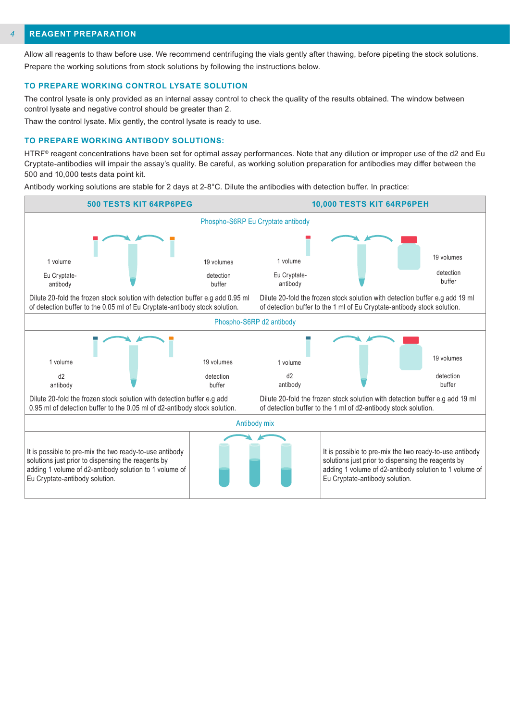#### **REAGENT PREPARATION** *4*

Allow all reagents to thaw before use. We recommend centrifuging the vials gently after thawing, before pipeting the stock solutions. Prepare the working solutions from stock solutions by following the instructions below.

#### **TO PREPARE WORKING CONTROL LYSATE SOLUTION**

The control lysate is only provided as an internal assay control to check the quality of the results obtained. The window between control lysate and negative control should be greater than 2.

Thaw the control lysate. Mix gently, the control lysate is ready to use.

#### **TO PREPARE WORKING ANTIBODY SOLUTIONS:**

HTRF® reagent concentrations have been set for optimal assay performances. Note that any dilution or improper use of the d2 and Eu Cryptate-antibodies will impair the assay's quality. Be careful, as working solution preparation for antibodies may differ between the 500 and 10,000 tests data point kit.

Antibody working solutions are stable for 2 days at 2-8°C. Dilute the antibodies with detection buffer. In practice:

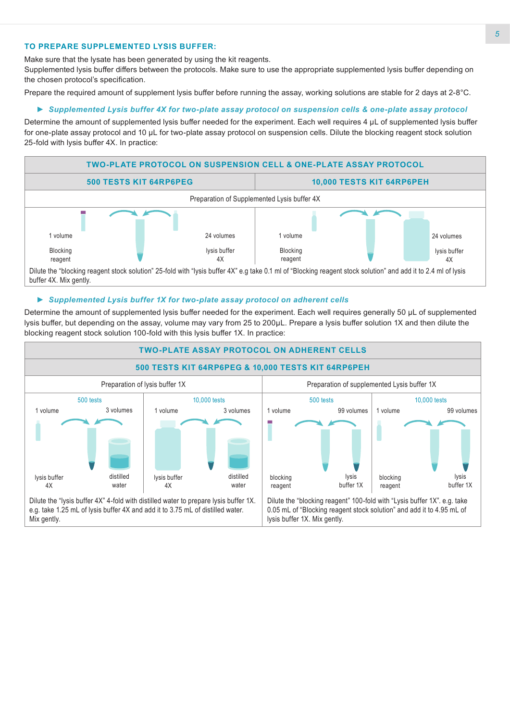### **TO PREPARE SUPPLEMENTED LYSIS BUFFER:**

Make sure that the lysate has been generated by using the kit reagents.

Supplemented lysis buffer differs between the protocols. Make sure to use the appropriate supplemented lysis buffer depending on the chosen protocol's specification.

Prepare the required amount of supplement lysis buffer before running the assay, working solutions are stable for 2 days at 2-8°C.

#### *► Supplemented Lysis buffer 4X for two-plate assay protocol on suspension cells & one-plate assay protocol*

Determine the amount of supplemented lysis buffer needed for the experiment. Each well requires 4 μL of supplemented lysis buffer for one-plate assay protocol and 10 μL for two-plate assay protocol on suspension cells. Dilute the blocking reagent stock solution 25-fold with lysis buffer 4X. In practice:



#### *► Supplemented Lysis buffer 1X for two-plate assay protocol on adherent cells*

Determine the amount of supplemented lysis buffer needed for the experiment. Each well requires generally 50 µL of supplemented lysis buffer, but depending on the assay, volume may vary from 25 to 200µL. Prepare a lysis buffer solution 1X and then dilute the blocking reagent stock solution 100-fold with this lysis buffer 1X. In practice:

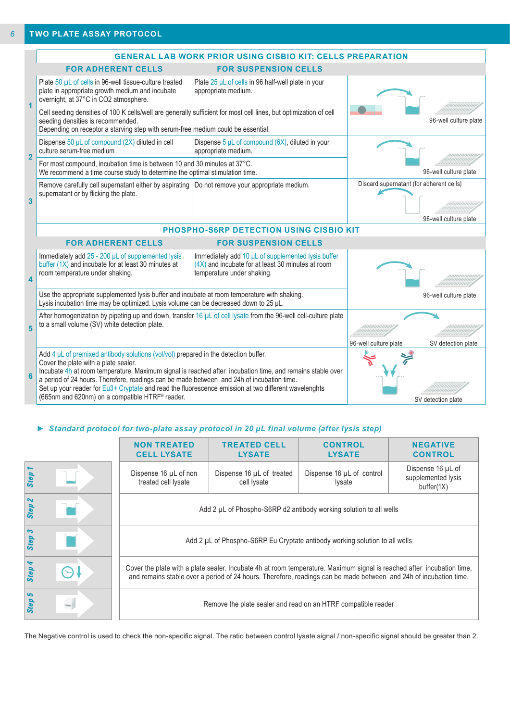|                         |                                                                                                                                                                                                                                                                                                                                                                                                                                                                                                       | <b>GENERAL LAB WORK PRIOR USING CISBIO KIT: CELLS PREPARATION</b>                                                                     |                                          |                       |
|-------------------------|-------------------------------------------------------------------------------------------------------------------------------------------------------------------------------------------------------------------------------------------------------------------------------------------------------------------------------------------------------------------------------------------------------------------------------------------------------------------------------------------------------|---------------------------------------------------------------------------------------------------------------------------------------|------------------------------------------|-----------------------|
|                         | <b>FOR ADHERENT CELLS</b>                                                                                                                                                                                                                                                                                                                                                                                                                                                                             | <b>FOR SUSPENSION CELLS</b>                                                                                                           |                                          |                       |
| $\blacktriangleleft$    | Plate 50 µL of cells in 96-well tissue-culture treated<br>plate in appropriate growth medium and incubate<br>overnight, at 37°C in CO2 atmosphere.                                                                                                                                                                                                                                                                                                                                                    | Plate 25 µL of cells in 96 half-well plate in your<br>appropriate medium.                                                             |                                          |                       |
|                         | Cell seeding densities of 100 K cells/well are generally sufficient for most cell lines, but optimization of cell<br>seeding densities is recommended.<br>Depending on receptor a starving step with serum-free medium could be essential.                                                                                                                                                                                                                                                            |                                                                                                                                       |                                          | 96-well culture plate |
| $\overline{2}$          | Dispense $50 \mu L$ of compound (2X) diluted in cell<br>culture serum-free medium                                                                                                                                                                                                                                                                                                                                                                                                                     | Dispense 5 $\mu$ L of compound (6X), diluted in your<br>appropriate medium.                                                           |                                          |                       |
|                         | For most compound, incubation time is between 10 and 30 minutes at 37°C.<br>We recommend a time course study to determine the optimal stimulation time.                                                                                                                                                                                                                                                                                                                                               |                                                                                                                                       | 96-well culture plate                    |                       |
| $\overline{\mathbf{3}}$ | Remove carefully cell supernatant either by aspirating   Do not remove your appropriate medium.<br>supernatant or by flicking the plate.                                                                                                                                                                                                                                                                                                                                                              |                                                                                                                                       | Discard supernatant (for adherent cells) | 96-well culture plate |
|                         | PHOSPHO-S6RP DETECTION USING CISBIO KIT                                                                                                                                                                                                                                                                                                                                                                                                                                                               |                                                                                                                                       |                                          |                       |
|                         | <b>FOR ADHERENT CELLS</b>                                                                                                                                                                                                                                                                                                                                                                                                                                                                             |                                                                                                                                       |                                          |                       |
| $\overline{\mathbf{4}}$ | Immediately add 25 - 200 µL of supplemented lysis<br>buffer (1X) and incubate for at least 30 minutes at<br>room temperature under shaking.                                                                                                                                                                                                                                                                                                                                                           | Immediately add 10 µL of supplemented lysis buffer<br>(4X) and incubate for at least 30 minutes at room<br>temperature under shaking. |                                          |                       |
|                         | Use the appropriate supplemented lysis buffer and incubate at room temperature with shaking.<br>Lysis incubation time may be optimized. Lysis volume can be decreased down to 25 µL.                                                                                                                                                                                                                                                                                                                  |                                                                                                                                       | 96-well culture plate                    |                       |
| 5                       | After homogenization by pipeting up and down, transfer 16 µL of cell lysate from the 96-well cell-culture plate<br>to a small volume (SV) white detection plate.                                                                                                                                                                                                                                                                                                                                      |                                                                                                                                       |                                          |                       |
|                         |                                                                                                                                                                                                                                                                                                                                                                                                                                                                                                       |                                                                                                                                       | 96-well culture plate                    | SV detection plate    |
| 6                       | Add 4 $\mu$ L of premixed antibody solutions (vol/vol) prepared in the detection buffer.<br>Cover the plate with a plate sealer.<br>Incubate 4h at room temperature. Maximum signal is reached after incubation time, and remains stable over<br>a period of 24 hours. Therefore, readings can be made between and 24h of incubation time.<br>Set up your reader for Eu3+ Cryptate and read the fluorescence emission at two different wavelenghts<br>(665nm and 620nm) on a compatible HTRF® reader. |                                                                                                                                       |                                          | SV detection plate    |

#### *► Standard protocol for two-plate assay protocol in 20 µL final volume (after lysis step)*

|        | <b>NON TREATED</b><br><b>CELL LYSATE</b>                                                                                                                                                                                                    | <b>TREATED CELL</b><br><b>LYSATE</b>     | <b>CONTROL</b><br><b>LYSATE</b>     | <b>NEGATIVE</b><br><b>CONTROL</b>                     |
|--------|---------------------------------------------------------------------------------------------------------------------------------------------------------------------------------------------------------------------------------------------|------------------------------------------|-------------------------------------|-------------------------------------------------------|
| Step 1 | Dispense 16 µL of non<br>treated cell lysate                                                                                                                                                                                                | Dispense 16 µL of treated<br>cell lysate | Dispense 16 µL of control<br>Iysate | Dispense 16 µL of<br>supplemented lysis<br>buffer(1X) |
| Step 2 | Add 2 µL of Phospho-S6RP d2 antibody working solution to all wells                                                                                                                                                                          |                                          |                                     |                                                       |
| Step 3 | Add 2 µL of Phospho-S6RP Eu Cryptate antibody working solution to all wells                                                                                                                                                                 |                                          |                                     |                                                       |
| Step 4 | Cover the plate with a plate sealer. Incubate 4h at room temperature. Maximum signal is reached after incubation time,<br>and remains stable over a period of 24 hours. Therefore, readings can be made between and 24h of incubation time. |                                          |                                     |                                                       |
| Step 5 | Remove the plate sealer and read on an HTRF compatible reader                                                                                                                                                                               |                                          |                                     |                                                       |

The Negative control is used to check the non-specific signal. The ratio between control lysate signal / non-specific signal should be greater than 2.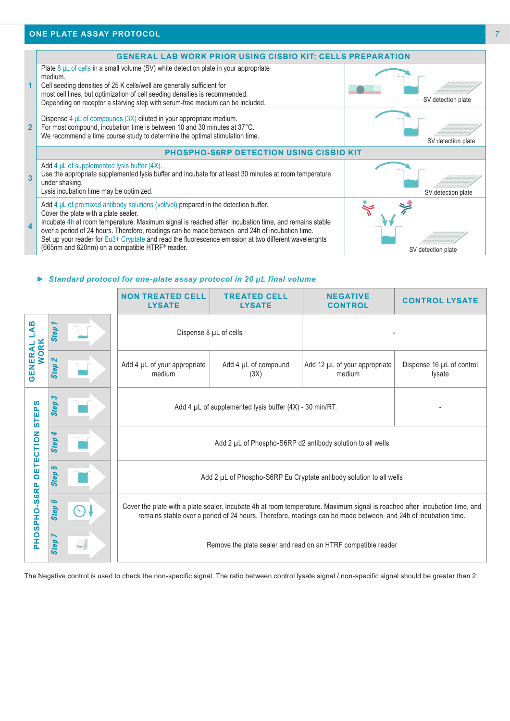

#### *► Standard protocol for one-plate assay protocol in 20 µL final volume*

|                                                                                                                                                        |                                          | <b>NON TREATED CELL</b><br><b>LYSATE</b>                                                                                                                                                                                                    | <b>TREATED CELL</b><br><b>LYSATE</b> | <b>NEGATIVE</b><br><b>CONTROL</b>       | <b>CONTROL LYSATE</b>               |
|--------------------------------------------------------------------------------------------------------------------------------------------------------|------------------------------------------|---------------------------------------------------------------------------------------------------------------------------------------------------------------------------------------------------------------------------------------------|--------------------------------------|-----------------------------------------|-------------------------------------|
| B<br>⋖<br><b>WORK</b><br>GENERAL                                                                                                                       | <b>Step</b>                              | Dispense 8 µL of cells                                                                                                                                                                                                                      |                                      |                                         |                                     |
|                                                                                                                                                        | $\boldsymbol{\mathsf{N}}$<br><b>Step</b> | Add 4 µL of your appropriate<br>medium                                                                                                                                                                                                      | Add 4 µL of compound<br>(3X)         | Add 12 µL of your appropriate<br>medium | Dispense 16 µL of control<br>lysate |
| ທ<br>STEP <sup>®</sup><br><b>DETECTION</b>                                                                                                             | S<br><b>Step</b>                         | Add 4 µL of supplemented lysis buffer (4X) - 30 min/RT.                                                                                                                                                                                     |                                      |                                         |                                     |
|                                                                                                                                                        | <b>Step</b>                              | Add 2 µL of Phospho-S6RP d2 antibody solution to all wells                                                                                                                                                                                  |                                      |                                         |                                     |
|                                                                                                                                                        | ما<br>Step                               | Add 2 µL of Phospho-S6RP Eu Cryptate antibody solution to all wells                                                                                                                                                                         |                                      |                                         |                                     |
| PHOSPHO-S6RP                                                                                                                                           | G<br><b>Step</b>                         | Cover the plate with a plate sealer. Incubate 4h at room temperature. Maximum signal is reached after incubation time, and<br>remains stable over a period of 24 hours. Therefore, readings can be made between and 24h of incubation time. |                                      |                                         |                                     |
| Step<br>Remove the plate sealer and read on an HTRF compatible reader                                                                                  |                                          |                                                                                                                                                                                                                                             |                                      |                                         |                                     |
| The Negative control is used to check the non-specific signal. The ratio between control lysate signal / non-specific signal should be greater than 2. |                                          |                                                                                                                                                                                                                                             |                                      |                                         |                                     |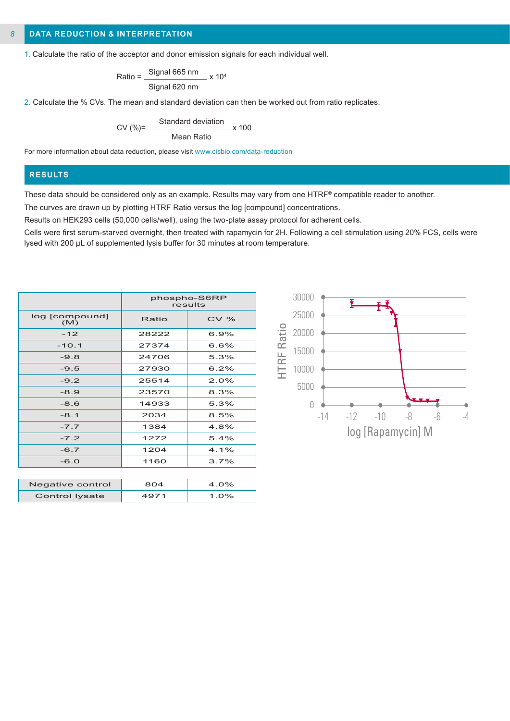#### **DATA REDUCTION & INTERPRETATION** *8*

1. Calculate the ratio of the acceptor and donor emission signals for each individual well.

$$
Ratio = \frac{Signal 665 nm}{Signal 620 nm} \times 10^4
$$

2. Calculate the % CVs. The mean and standard deviation can then be worked out from ratio replicates.

$$
CV (%) = \frac{Standard deviation}{Mean Ratio} \times 100
$$

For more information about data reduction, please visit www.cisbio.com/data-reduction

#### **RESULTS**

These data should be considered only as an example. Results may vary from one HTRF® compatible reader to another.

The curves are drawn up by plotting HTRF Ratio versus the log [compound] concentrations.

Results on HEK293 cells (50,000 cells/well), using the two-plate assay protocol for adherent cells.

Cells were first serum-starved overnight, then treated with rapamycin for 2H. Following a cell stimulation using 20% FCS, cells were lysed with 200 µL of supplemented lysis buffer for 30 minutes at room temperature.

|                       |       | phospho-S6RP<br>results |
|-----------------------|-------|-------------------------|
| log [compound]<br>(M) | Ratio | CV%                     |
| $-12$                 | 28222 | 6.9%                    |
| $-10.1$               | 27374 | 6.6%                    |
| $-9.8$                | 24706 | 5.3%                    |
| $-9.5$                | 27930 | 6.2%                    |
| $-9.2$                | 25514 | 2.0%                    |
| $-8.9$                | 23570 | 8.3%                    |
| $-8.6$                | 14933 | 5.3%                    |
| $-8.1$                | 2034  | 8.5%                    |
| $-7.7$                | 1384  | 4.8%                    |
| $-7.2$                | 1272  | 5.4%                    |
| $-6.7$                | 1204  | $4.1\%$                 |
| $-6.0$                | 1160  | 3.7%                    |
|                       |       |                         |
| Negative control      | 804   | 4.0%                    |

Control lysate | 4971 | 1.0%